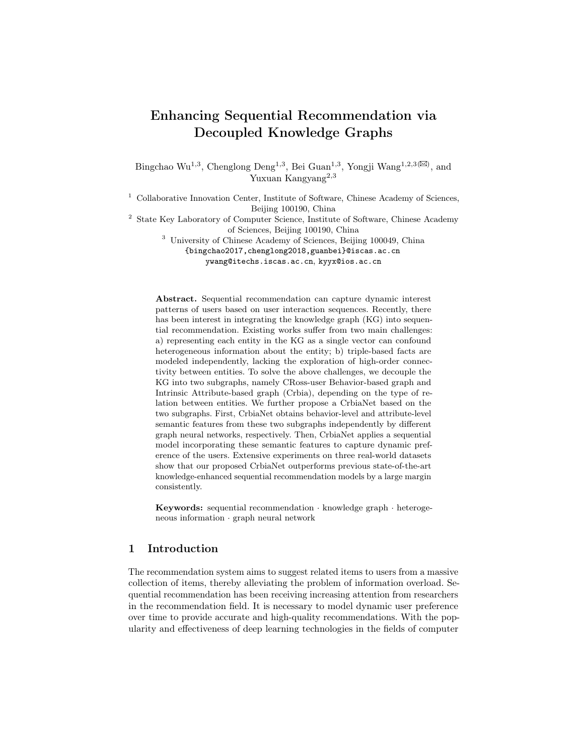# Enhancing Sequential Recommendation via Decoupled Knowledge Graphs

Bingchao Wu<sup>1,3</sup>, Chenglong Deng<sup>1,3</sup>, Bei Guan<sup>1,3</sup>, Yongji Wang<sup>1,2,3( $\boxtimes$ )</sup>, and Yuxuan Kangyang<sup>2,3</sup>

<sup>1</sup> Collaborative Innovation Center, Institute of Software, Chinese Academy of Sciences, Beijing 100190, China

<sup>2</sup> State Key Laboratory of Computer Science, Institute of Software, Chinese Academy of Sciences, Beijing 100190, China

<sup>3</sup> University of Chinese Academy of Sciences, Beijing 100049, China

{bingchao2017,chenglong2018,guanbei}@iscas.ac.cn ywang@itechs.iscas.ac.cn, kyyx@ios.ac.cn

Abstract. Sequential recommendation can capture dynamic interest patterns of users based on user interaction sequences. Recently, there has been interest in integrating the knowledge graph (KG) into sequential recommendation. Existing works suffer from two main challenges: a) representing each entity in the KG as a single vector can confound heterogeneous information about the entity; b) triple-based facts are modeled independently, lacking the exploration of high-order connectivity between entities. To solve the above challenges, we decouple the KG into two subgraphs, namely CRoss-user Behavior-based graph and Intrinsic Attribute-based graph (Crbia), depending on the type of relation between entities. We further propose a CrbiaNet based on the two subgraphs. First, CrbiaNet obtains behavior-level and attribute-level semantic features from these two subgraphs independently by different graph neural networks, respectively. Then, CrbiaNet applies a sequential model incorporating these semantic features to capture dynamic preference of the users. Extensive experiments on three real-world datasets show that our proposed CrbiaNet outperforms previous state-of-the-art knowledge-enhanced sequential recommendation models by a large margin consistently.

Keywords: sequential recommendation · knowledge graph · heterogeneous information · graph neural network

## 1 Introduction

The recommendation system aims to suggest related items to users from a massive collection of items, thereby alleviating the problem of information overload. Sequential recommendation has been receiving increasing attention from researchers in the recommendation field. It is necessary to model dynamic user preference over time to provide accurate and high-quality recommendations. With the popularity and effectiveness of deep learning technologies in the fields of computer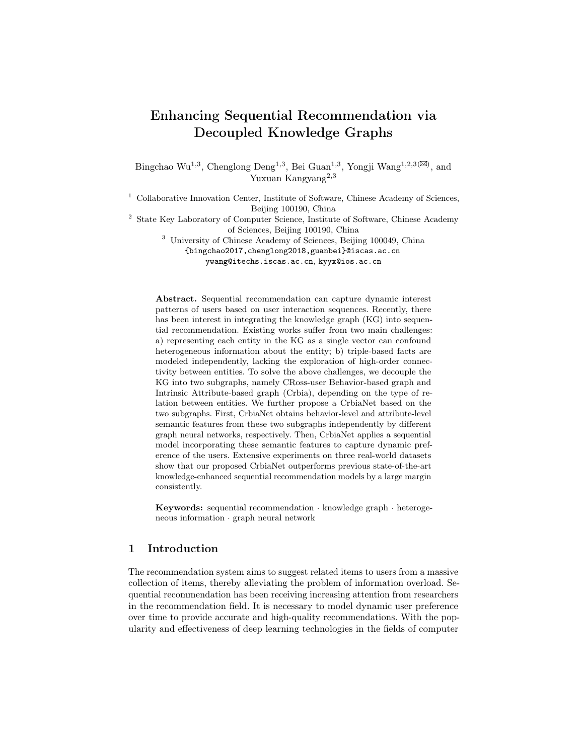vision and natural language processing, much of the literature on sequential recommendation has focused specifically on capturing sequential patterns from the historical interaction sequences sorted by time to predict future items for users via neural network models, such as GRU4Rec [6], Caser [23], SASRec [9], and BERT4Rec [22].

Although sequential recommendation has achieved great success in capturing dynamic user preference, it is limited by the fact that the vector of user preference is learned independently through each user's interaction sequence, and a large portion of the user interaction sequence is sparse [4]. Recently, many previous studies have focused on injecting the KG into sequential recommendation models through path-based methods (e.g., MASR [8] and KSRN [43]) and embeddingbased methods (e.g., Chorus [28] and KERL [30]) to solve the aforementioned problems. The path-based approaches extract meta-paths that are relevant to user behavior sequences from the KG. However, these approaches rely heavily on expert knowledge to design reasonable meta-paths, and it is difficult to enumerate all potentially useful meta-paths [4]. The research in this paper is concerned with embedding-based approaches, which use the KG embedding methods to acquire the embedding of each entity in the KG. The existing embedding-based methods integrated into sequential recommendation models are divided into two categories, i.e., traditional distance-based models (e.g., TransE [1] and TransR [13]) and traditional semantic matching models (e.g., DistMult [37] and ComplEx [25]).



Fig. 1: (a) The heterogeneous information in the KG. (b) The high-order connectivity between items in the KG where the yellow dashed line indicates no directly connected edges between items.

In the recommendation domain, there are two challenges in applying these two categories of embedding-based approaches to encode semantic features in the KG.

– Heterogeneous semantic information of items: the KG in the recommendation domain includes intrinsic attribute-level semantic information of items and behavior-level semantic information of items extracted from user logs [14]. A case is shown in Fig. 1-(a), the bottom two triples (*iPhone, brand, Apple*) and (iPhone, category, Phone) construct the attribute-level semantic information of iPhone, and the top two triples generate the behavior-level semantic information of iPhone. Existing embedding-based methods applied to sequential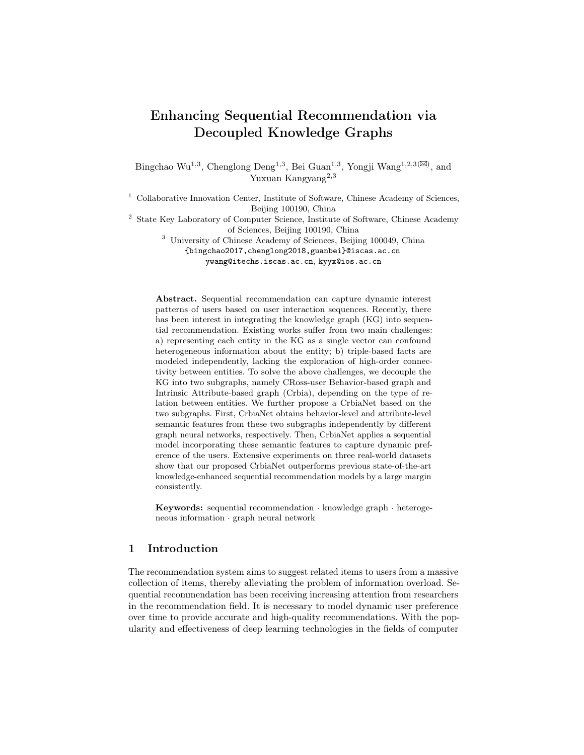recommendation confound two types of heterogeneous information in a single vector.

– High-order connectivity between items: the embedding-based approaches mentioned above only model each fact consisting of a triplet individually, and ignore the high-order connectivity between items [29]. The high-order connectivityis a multi-hop relation path between items [32], which allows exploring deeper semantic information about items. A case is shown in Fig. 1- (b). Even though there are no directly connected edges between iPhone and Apple Watch, we can still capture the potential semantic relation through a multi-hop connection (iPhone→MacBook→AirPods→Apple Watch).

While the existing works (e.g., KSR [7], KERL [31] and GFE-SASRec [38]) utilize graph neural networks to model high-order connectivity, they only consider one type of KG or conflate heterogeneous information of items into a single vector. To overcome these challenges, we propose a sequential recommendation model CbiaNet 4 via merging decoupled knowledge graphs. First, we decouple the KG into two complementary subgraphs, named the cross-user behaviorbased graph and the intrinsic attribute-based graph. Then, two knowledge subextractors encode the two subgraphs independently by graph neural networks to solve the problem of confounding heterogeneous semantics and to capture the higher-order connections between items. Next, a hierarchical knowledge aggregator combines the heterogeneous semantic information to generate highlevel semantic features. Finally, a sequential model incorporating the high-level semantic features is developed to capture the dynamic preference of the users. We conduct experiments on three real-world datasets, and the experimental results show that our proposed CrbiaNet outperforms the existing state-of-theart recommendation models. In addition, we extend the high-level semantic features to several sequential recommendation models, which also improves their performance.

## 2 Related Work

### 2.1 Sequential Recommendation

In order to model the dynamic interests of users, sequential recommendation methods utilize the user's historical interaction data. Markov chains are applied in traditional sequential recommendation methods by estimating the transition probability between items within the previous action sequence [20,21]. With the great success of deep learning methods in various fields, many efforts have been made to model users' historical interaction sequences by utilizing neural networks [6,12,9,22,23]. GRU4Rec [6] applies Gated Recurrent Units (GRU) to the session-based recommendation. NARM [12] further introduces attention-based GRU by assigning different weights to items of historical interaction sequences. Besides, Caser [23] and NextItNet [39] introduce Convolution Neural Network

<sup>4</sup> The codes are released at https://github.com/paulpig/sequentialRec.git.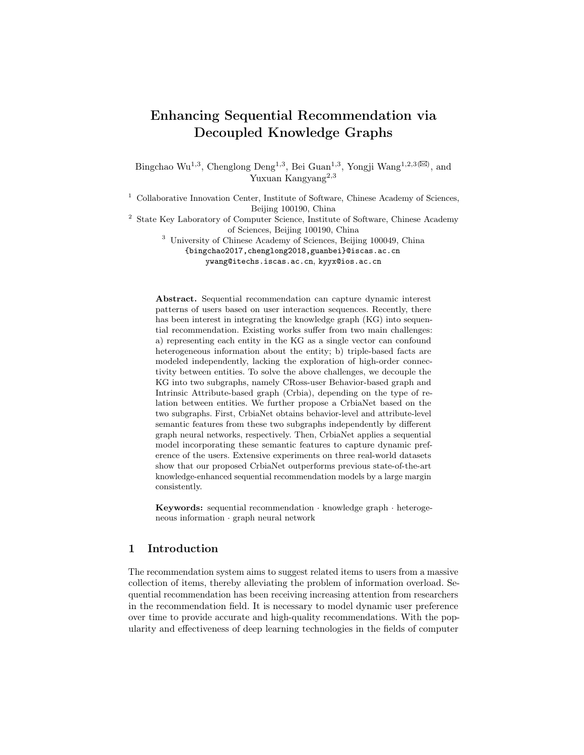(CNN) to learn sequential patterns as local features by using convolutional filters. Recently, various studies have validated that self-attention mechanisms effectively model dependencies between items [9,22]. SASRec [9] utilizes left-toright Transformer models [26] to predict the next item. BERT4Rec [22] uses bidirectional Transformer models (BERT [3]) to encode user interest vectors by optimizing a Cloze task [24]. Sequential recommendations focus only on the user's own interaction sequence, ignoring the similar co-occurrence across users between items and relationships between items at the attribute level.

### 2.2 Knowledge-enhanced Recommendation

KGs have been applied in various recommendation models to improve the performance of the recommendation where KGs use triples to describe realistic facts, such as the user-item KG [43], the item-item KG [36], and the item-attribute KG [43]. Several graph-based recommendation models jointly encode behaviorlevel user-item relations and knowledge-level item-item relations to introduce semantic knowledge from KG into the recommender system, such as KHGT [34], UGRec [41], and SMIN [14]. However, the above graph-based models cannot capture the dynamic user preference, so more research is focused on how to utilize knowledge graphs to enhance sequential recommendation models. Existing studies on injecting knowledge graphs into sequential models are mainly divided into two categories: path-based and embedding-based methods. For path-based methods, MASR [8] introduces meta-paths from the knowledge graph to capture global contextual information and applies the sequential model to capture the local contextual information. KARN [43] combines users' historical behavior sequences and the path between the user and the target item for recommendation. For embedding-based methods, KERL [30] uses TransR to obtain semantic features from KG that are fused into the sequential models. Chorus [28], RCF [36], and KDA [27] use DistMult to extract semantic features of items from KG by bilinear objectives and use the semantic features as input to the sequential model. Despite these recent advancements, the above knowledge graph embeddings cannot capture the higher-order connections between items in KG. DHIMN [35] applies a GCN-based message-passing layer to capture the high-level semantic knowledge in the KG, but ignores heterogeneous information of item relations in KG.

### 3 Problem Definition and Notation

### 3.1 Cross-user Behavior-based Graph (CRBGraph)

In the recommendation domain, item relations extracted from user logs naturally exist in the datasets [27,15]. For example, the relation *also buy (also view)* between iPhone and MacBook means that users bought an iPhone and also bought (viewed) a MacBook afterwards. Here we represent these item relations with a cross-user behavior-based graph  $\mathcal{G}_1$ , defined as  $\{(h, r, t)| h, t \in \mathcal{I}, r \in \mathcal{R}^b\}$ where  $\mathcal I$  and  $\mathcal R^b$  denote sets of item instances and item relations, respectively.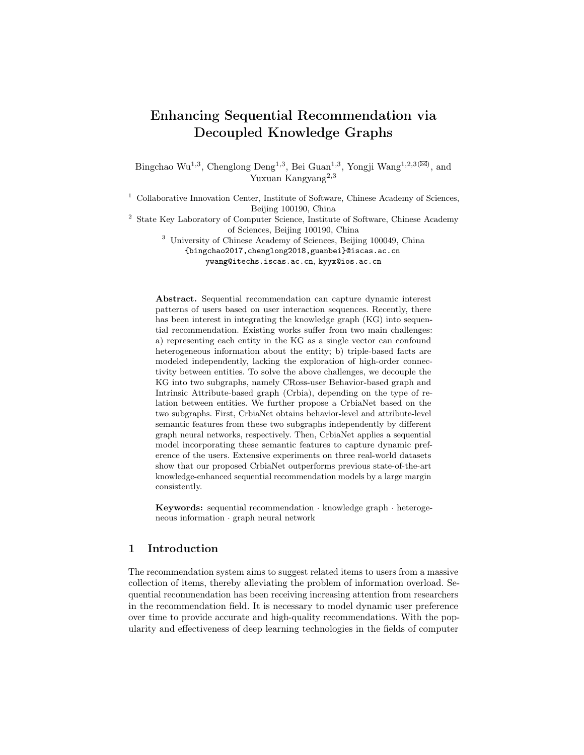The relations between item-item pairs are all positively correlated, so all types of item relations are reduced to a positive relation. This means that  $r \in \{0, 1\}$ where  $r = 1$  represents that there is a behavior-level link between the item-item pair.

### 3.2 Intrinsic Attribute-based Graph (IAGraph)

In addition to behavior-level links between items, there are various types of item attributes, such as category and brand. Here we utilize the item-attribute pairs to generate an intrinsic attribute-based graph  $\mathcal{G}_2$ , defined as  $\{(h, r', a)| h \in \mathcal{I}, a \in \mathcal{I}\}$  $\mathcal{A}, r' \in \mathbb{R}^d$ , where I and A denote sets of item instances and attribute values, and  $R^a$  is the set of attribute-level relations. For example, the triple (*iPhone*, brand, Apple) represents that the brand of the iPhone is Apple.

### 3.3 Task Description

Assume that there are  $M$  users and  $N$  items in the recommender system. Given the graphs  $\mathcal{G}_1, \mathcal{G}_2$  and the interaction sequence  $S^u = [i_1^u, i_2^u, \cdots, i_T^u]$  of user u where  $i_1^u \in \mathcal{I}$  and  $T$  is the length of the interaction sequence, the knowledgeenhanced sequential recommendation task is denoted as follows:

$$
i_u^* = argmax_{i_k \in \mathcal{I}} P(i_{T+1}^u = i_k | S^u, \mathcal{G}_1, \mathcal{G}_2)
$$

where  $i_{T+1}^u$  is the predicted item at  $T+1$  time step, and P is the probability distribution over  $\mathcal{I}$ .

### 4 Method

The overview of CrbiaNet is shown in Fig. 2. The knowledge extractor is firstly employed to obtain heterogeneous item features from two distinct KGs, comprising a Behavior-level Knowledge Sub-extractor (BKS) and an Attribute-level Knowledge Sub-extractor (AKS). Then, the knowledge aggregator applies a hierarchical integration strategy to generate high-level semantic features by merging heterogeneous item features. Finally, a sequential interactions modeling layer merging high-level semantic features is employed to capture the dynamic user intention from the user's historical interaction sequence.

### 4.1 Knowledge Extractor

In this section, we design two types of graph neural networks to encode the behavior-level and attribute-level higher-order semantic features from the CR-BGraph and the IAGraph, respectively. To model the CRBGraph, we design a behavior-level knowledge sub-extractor that aggregates semantic features of neighbors based on the flow direction of message passing in the graph neural network. For IAGraph, we aggregate the neighborhood information to the central node through the relationship-aware attention mechanism of the attribute-level knowledge sub-extractor.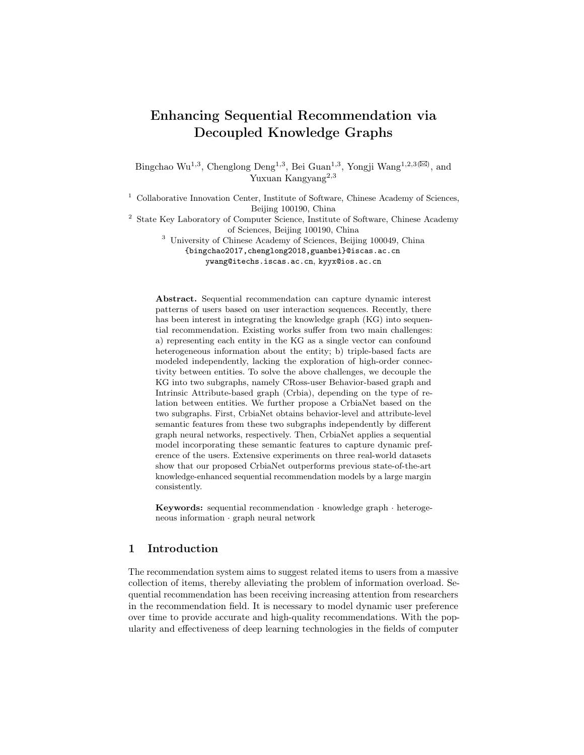

Fig. 2: The overall framework of our proposed model.

Behavior-level Knowledge Sub-extractor (BKS) CRBGraph is a directed homogeneous graph in which each triple contains the time-series relation between the head and the tail entity. For example, the triple  $(\rho)$  hone, also buy, phone case) means that users bought a *phone* and then also bought a *phone case*. Each node in the CRBGraph appears as a head entity in some related triples and as a tail entity in the rest of the related triples. This indicates that each node in the CRBGraph contains two types of time-series relations. To capture these time-series relations, we construct two-sided semantic features for each node,  $\mathbf{H}_{in}$ and  $H_{out}$ .

Specially, given the item  $i$ , one-hop neighbors of  $i$  are divided into out-degree neighbors  $\mathcal{N}_i^{out}$  and in-degree neighbors  $\mathcal{N}_i^{in}$ . For example,  $\mathcal{N}_5^{out}$  of the item  $v_5$ is  $\{v_1, v_4, v_6\}$  and  $\mathcal{N}_5^{in}$  is  $\{v_2, v_3\}$  in Fig. 3-(a). One-side semantic feature of item *i* at  $k^{th}$  layer, in-degree feature  $\mathbf{H}_{in,i}^{(k)}$ , aggregates the features  $\mathbf{H}_{out,i}^{(k-1)}$  at  $(k-1)^{th}$ layer in neighbors  $\mathcal{N}_i^{in}$ . The other-side feature  $\mathbf{H}_{out,i}^{(k)}$  aggregates  $\mathbf{H}_{in,i}^{(k-1)}$  in  $\mathcal{N}_i^{out}$ . The formula for the aggregation operation is:

$$
\mathbf{H}_{in,i}^{(k)} = \sum_{j \in \mathcal{N}_i^{in}} \frac{1}{\sqrt{|\mathcal{N}_j^{in}|} \sqrt{|\mathcal{N}_i^{out}|}} \mathbf{H}_{out,j}^{(k-1)},
$$
(1)

$$
\mathbf{H}_{out,i}^{(k)} = \sum_{j \in \mathcal{N}_i^{out}} \frac{1}{\sqrt{|\mathcal{N}_j^{out}|} \sqrt{|\mathcal{N}_i^{in}|}} \mathbf{H}_{in,j}^{(k-1)} \tag{2}
$$

where  $|\mathcal{N}_i^{out}|$  and  $|\mathcal{N}_i^{in}|$  are the number of items in  $\mathcal{N}_i^{out}$  and  $\mathcal{N}_i^{in}$ , respectively. A case is shown in Fig. 3-(b), the in-degree features  $\{\mathbf{H}_{in,1}^{(k-1)},\mathbf{H}_{in,4}^{(k-1)},\mathbf{H}_{in,6}^{(k-1)}\}$  at  $(k-1)$ <sup>th</sup> layer of  $\{v_1, v_4, v_6\}$  are propagated to the out-degree feature  $\mathbf{H}_{out,5}^{(k)}$  at  $k^{th}$  layer of the item  $v_5$  by Eq. 1. Note that  $\mathbf{H}_{out}^{(0)} = \mathbf{H}_{in}^{(0)} = \mathbf{E}_b$ , which means that  $\mathbf{H}_{out}^{(0)}$  and  $\mathbf{H}_{in}^{(0)}$  are from a shared embedding layer  $\mathbf{E}_b$  to avoid overfitting.

Next, we stack more layers to capture higher-order item relations by Eq. 1 subject to  $k > 1$  and obtain the final in-degree representation  $H_{in}$  by averaging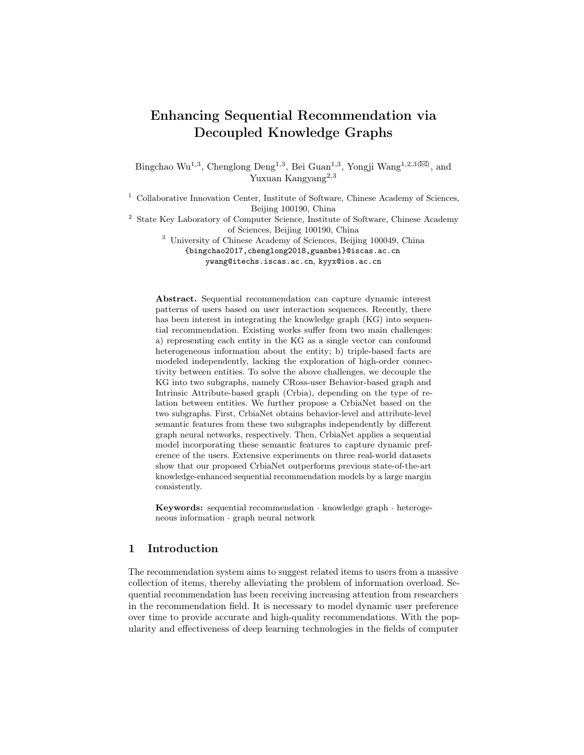

Fig. 3: (a) The items in the orange and blue dashed boxes are the out-degree and in-degree neighbors; (b) The red and green dashed circles indicate the out-degree and in-degree features, respectively.

the in-degree item features at each layer. The final out-degree representation  $\mathbf{H}_{out}$ is derived using the similar operation. Finally, we optimize the behavior-level knowledge sub-extractor using the BPR loss [18]:

$$
L_{CB} = -\sum_{(i,j,j') \in \mathcal{D}_R} \ln \sigma(\hat{y}_{ij} - \hat{y}_{ij'}); \quad \hat{y}_{ij} = \mathbf{H}_{out,i} \mathbf{H}_{in,j}^T
$$
(3)

where  $\mathcal{D}_R$  is  $\{(i, j, j') | (i, r, j) \in \mathcal{G}_1 \land r = 1, (i, r', j') \in \mathcal{G}_1 \land r' = 0\}.$ 

Attribute-level Knowledge Sub-extractor (AKS) Another knowledge subextractor is applied to encode potential attribute-level knowledge of items via a graph neural network, which can explore the user's preference at the attribute level. The high correlation of the attribute information and the preference behavior has been verified in [11,33].

First, the translation-based method TransR [13] is applied to model the firstorder connectivity of entities in the IAGraph. However, it lacks the encoding of high-order connectivity between entities. We further introduce a graph attention network consisting of message propagation layers and message aggregation layers. For the  $k^{th}$  message propagation layer, we use the relation-aware attention mechanism to integrate neighbors of the central item i:

$$
\mathbf{T}_{\mathcal{F}_i}^{(k)} = \sum_{(i,r,a)\in\mathcal{F}_i} \pi^{(k)}(i,r,a) \mathbf{T}_a^{(k)} \tag{4}
$$

where  $\mathcal{F}_i$  is the set of triples with the item i as the head entity in  $\mathcal{G}_2$ , and  $\mathbf{T}_a^{(k)}$  is the feature of the entity a at  $k^{th}$  layer;  $\pi^{(k)}(i,r,a)$  indicates the decay factor of the triple  $(i, r, a)$  in the message propagation [32]:

$$
\pi^{(k)}(i,r,a) = \frac{\exp(f^{(k)}(i,r,a))}{\sum_{(i,r',a') \in \mathcal{F}_i} \exp(f^{(k)}(i,r',a'))}
$$
\n
$$
f^{(k)}(i,r,a) = (\mathbf{W}_r \mathbf{T}_a^{(k)})^\mathsf{T} \tanh\left((\mathbf{W}_r \mathbf{T}_i^{(k)} + \mathbf{T}_r^{(k)})\right)
$$
\n(5)

where  $\mathbf{W}_r$  is the relation-aware trainable parameter, and  $\mathbf{T}_i^{(k)}$  and  $\mathbf{T}_r^{(k)}$  are the features of the entity i and the relation r. For the  $k^{th}$  message aggregation layer,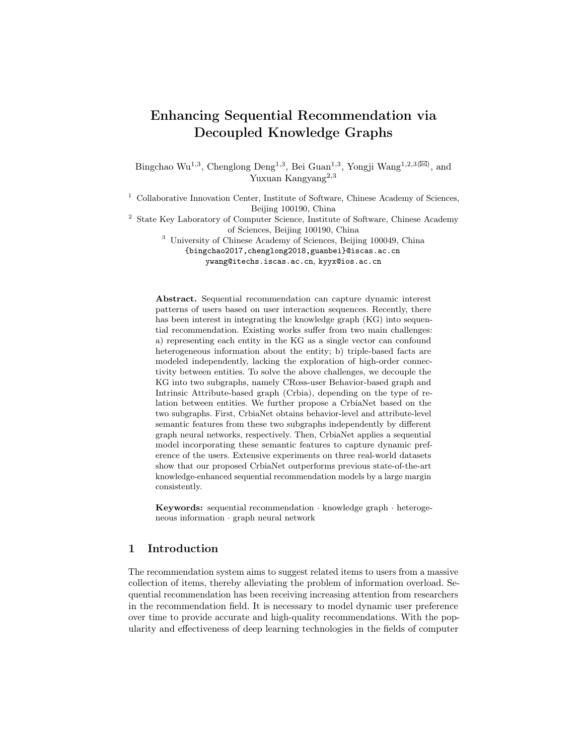#### 8 Authors Suppressed Due to Excessive Length

 $\mathbf{T}_{\mathcal{F}_{i}}^{(k)}$  $\mathcal{F}_{\mathcal{F}_{i}}^{(k)}$  and  $\mathbf{T}_{i}^{(k)}$  are aggregated by two types of feature interactions and a nonlinear transformation and then passed to the  $(k+1)$ <sup>th</sup> layer:

$$
\mathbf{T}_{i}^{(k+1)} = \sigma \Big(\mathbf{W}_{1}(\mathbf{T}_{i}^{(k)} + \mathbf{T}_{\mathcal{F}_{i}}^{(k)})\Big) + \sigma \Big(\mathbf{W}_{2}(\mathbf{T}_{i}^{(k)} \odot \mathbf{T}_{\mathcal{F}_{i}}^{(k)})\Big) \tag{6}
$$

where  $\sigma$  is a LeakyReLU activation layer;  $\mathbf{W}_1$  and  $\mathbf{W}_2$  are the trainable parameters; Note that  $\mathbf{T}^{(0)} = \mathbf{E}_a$  where  $\mathbf{E}_a$  is an embedding table.

To model the higher-order connectivity in the IAGraph, we stack more layers and average the features of entities at each layer to generate T. To optimize this sub-extractor, we introduce the BPR-based loss  $L_{AT}$ :

$$
L_{AT} = -\sum_{(i,r,a,a') \in \mathcal{D}_A} \ln \sigma(\bar{y}_{i,r,a} - \bar{y}_{i,r,a'}); \quad \bar{y}_{i,r,a} = \mathbf{T}_i \mathbf{W}_r^a \mathbf{T}_a^T
$$
(7)

where  $\sigma$  is a sigmoid activation layer, and  $\mathcal{D}_A$  is  $\{(i, r, a, a')|(i, r, a) \in \mathcal{G}_2, (i, r, a') \notin$  $\mathcal{G}_2$ ;  $\mathbf{W}_r^a$  is the trainable parameter.

### 4.2 Knowledge Aggregator

To merge the heterogeneous content information of each item into a fixed size embedding, we design a knowledge aggregator by integrating the semantic features of items extracted from the BKS and the AKS in a hierarchical manner. These item features consist of two parts: 1) high-order semantic features of items, including high-order out-degree features  $\mathbf{H}_{out}$ , high-order in-degree features  $\mathbf{H}_{in}$  and high-order attribute-based features **T**; 2) item embeddings, containing embeddings  $\mathbf{E}_b$  of input to the AKS and embeddings  $\mathbf{E}_a$  of input to the BKS. The fused high-order semantic features  $\mathbf{M}_k^h$  are integrated by an attention mechanism that dynamically assigns attention weights to the three high-order semantic features mentioned above:

$$
\mathbf{M}_{k}^{h} = \sum_{V \in \{\mathbf{H}_{out}, \mathbf{H}_{in}, \mathbf{T}\}} w_{v}^{k} * \mathbf{V}_{k},
$$
\n
$$
w_{v}^{k} = \frac{exp(\mathbf{W}_{f}^{1} \tanh(\mathbf{W}_{f}^{2} \mathbf{V}_{k}^{T}))}{\sum_{Q \in \{\mathbf{H}_{out}, \mathbf{H}_{in}, \mathbf{T}\}} exp(\mathbf{W}_{f}^{1} \tanh(\mathbf{W}_{f}^{2} \mathbf{Q}_{k}^{T}))}
$$
\n(8)

where  $\mathbf{W}_f^1$  and  $\mathbf{W}_f^2$  are the parameters of the attention mechanism. The fused item embeddings $\mathbf{M}_k^l$  are merged using the same attention mechanism. Next, a learnable gate is introduced to balance the contributions of the fused high-order item features  $\mathbf{M}_k^h$  and the fused item embeddings  $\mathbf{M}_k^l$ :

$$
\mathbf{G}_k = \sigma(\mathbf{W}_g^1 \mathbf{M}_k^h + \mathbf{W}_g^2 \mathbf{M}_k^l)
$$
  

$$
\mathbf{M}_k = \mathbf{G}_k \cdot \mathbf{M}_k^h + (1 - \mathbf{G}_k) \cdot \mathbf{M}_k^l
$$
 (9)

where  $\mathbf{W}_g^1$  and  $\mathbf{W}_g^2$  are the learnable parameters and  $\sigma$  is a sigmoid function; M is the high-level semantic knowledge.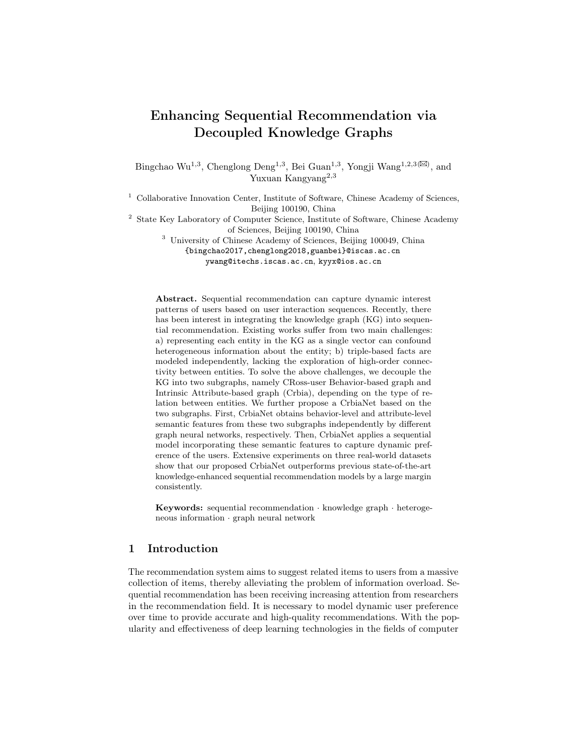Enhancing Sequential Recommendation via Decoupled Knowledge Graphs 9

#### 4.3 Sequential Interactions Modeling (SIM)

In sequential interactions modeling, sequential models (e.g., GRU4Rec [6], SAS-Rec [9], and BERT4Rec [22]) are widely used to capture the dynamic user preference based on historical interaction sequences. In this paper, we apply SASRec to encode the user interest representation, which consists of an embedding layer and self-attention blocks [26]. To inject the rich semantic knowledge extracted from the two KGs into SASRec, the embedding layer of SASRec is initialized by the high-level semantic knowledge M extracted from the knowledge aggregator. Specifically, given **M** and a user's interaction sequence  $\mathcal{S}^u = [i_1, i_2, \dots, i_T]$ , the input embedding is:

$$
\mathbf{E}_{\mathcal{S}^u} = [\mathbf{M}_0 + \mathbf{P}_0, \mathbf{M}_1 + \mathbf{P}_1, \cdots, \mathbf{M}_T + \mathbf{P}_T] \tag{10}
$$

where  $P$  is a position embedding table. Then, we apply self-attentive blocks to establish dependencies between interactive items and capture the dynamic preference of the user through multi-head attention layers (MH) and fully connected feed-forward layers (FNN):

$$
\mathbf{H}_{\mathcal{S}^u} = FFN(MH(\mathbf{E}_{\mathcal{S}^u}))
$$
\n(11)

where  $\mathbf{H}_{\mathcal{S}^u}$  is the hidden representation of the user interaction sequence  $\mathcal{S}^u$ . For MH and FFN, [26] has a detailed definition. To optimize the SIM, we adopt a binary cross entropy loss as the objective function:

$$
L_{SQ} = -\sum_{S^u \in \mathcal{S}} \sum_{t \in [1,2,\cdots,T]} (\ln \sigma(\widetilde{y}_{tj}) + \sum_{k \notin S^u} \ln(1 - \sigma(\widetilde{y}_{tk})); \quad \widetilde{y}_{tj} = \mathbf{H}_{\mathcal{S}^u, t} \mathbf{M}_j^{h^T}
$$
\n(12)

Note that the fused high-order item features  $M<sup>h</sup>$  are used as semantic features of the target items to avoid overfitting.

### 4.4 Model Learning & Prediction

We use the pre-training and fine-tuning paradigm to better incorporate the semantic information extracted from KGs into the sequential recommendation model. Specifically, the BKS and the AKS are first pre-trained according to the optimization objectives in Eq. 3 and Eq. 7, and then fine-tuned together with the knowledge aggregator and the SIM using the optimization objective in Eq. 12. The final objective function of CrbiaNet is:

$$
L_{CrbiaNet} = L_{SQ} + \alpha L_{CB} + \beta L_{AT} + \gamma(||\theta||_2^2)
$$
\n(13)

where  $L_2$  regularization on  $\theta$  with the weight  $\gamma$  is designed to prevent overfitting, and  $\alpha$  and  $\beta$  are the weights of the loss functions for different knowledge subextractors. In the inference phase, we only use the SIM as an online service to ensure the efficiency of the service.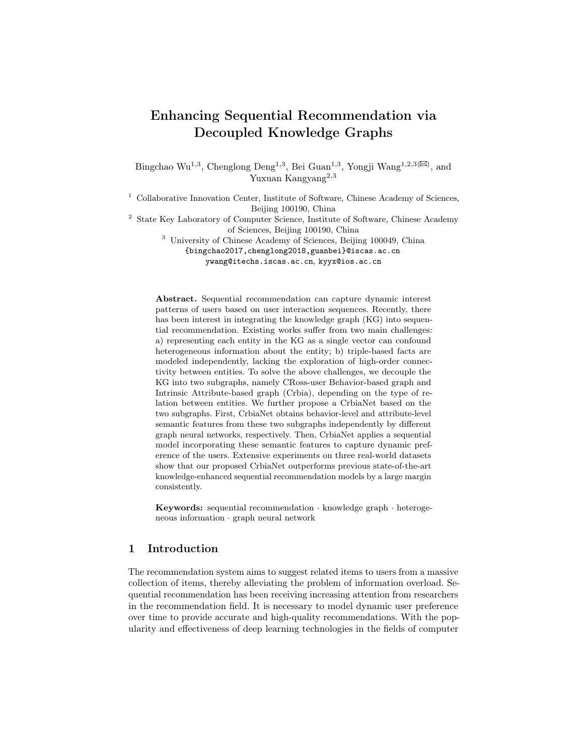10 Authors Suppressed Due to Excessive Length

### 5 Experiment

### 5.1 Experimental Settings

Datasets We conduct experiments on the Amazon dataset [5], which includes the interactions between users and items and metadata of items with natural item relations [28] (e.g., also view, also buy) and attributes of items (e.g., price, brand and category). CRBGraph  $(\mathcal{G}_1)$  and IAGraph  $(\mathcal{G}_2)$  are constructed from the natural item relations and the attributes of items, respectively. We use three representative sub-datasets in the Amazon dataset: Beauty(Beauty), Sports and Outdoors(Sports), and Toys and Games(Toys). The detailed statistics of Amazon datasets are consistent with [42]. To construct user interaction sequences, we group user interaction records, sort them according to the timestamps ascendingly. We filter out users and items with less than five interaction records following previous studies [9,22].

Parameter Settings and Evaluation Metrics CrbiaNet is trained by the Adam optimizer [10] with a learning rate of 0.001, where the batch size of the knowledge sub-extractors (BKS and AKS) and SIM are set as 2048 and 256, respectively. Gradients are clipped when the gradient norm is greater than five. The number of layers and the embedding dimensions are set to 2 and 64 for BKS, AKS, and SIM. Following previous sequential recommendation models [9,22], the maximum length of the user interaction sequence is set as 50. The weights  $\alpha$ ,  $\beta$  and  $\gamma$  are set to 1.0. Besides, the leave-one-out strategy is used for training and evaluation, and top-k HIT Ratio(HR@k) and top-k Normalised Discounted Cumulative Gain (NDCG@k) are considered to be ranking metrics. Following previous studies [9,6], we evaluate the performance of the models by combining the ground-truth item and 99 randomly sampled non-interactive negative items.

Baseline Methods To validate the effectiveness of our proposed CrbiaNet model, we select nine previous representative models as baseline methods.

- BPR [19] is a classical Bayesian personalized ranking algorithm with implicit feedback based on stochastic gradient descent.
- FM [17] considers the combined features based on linear regression.
- GRU4Rec [6] applies GRU [2] to model user interaction sequences for session-based recommendations with a ranking loss function.
- SASRec [9] is a sequential recommendation model based on deep unidirectional transformers that capture dynamic user interests.
- BERT4Rec [22] uses BERT [3] to encode user interaction sequences by deep bidirectional transformers.
- **FDSA** [40] captures the dynamic user preference by simultaneously modeling both item-level and feature-level(attribute-level) sequences.
- $S^3$ -Rec [42] adopts the paradigm of pre-training and fine-tuning, where attributes are employed in the pre-training phase.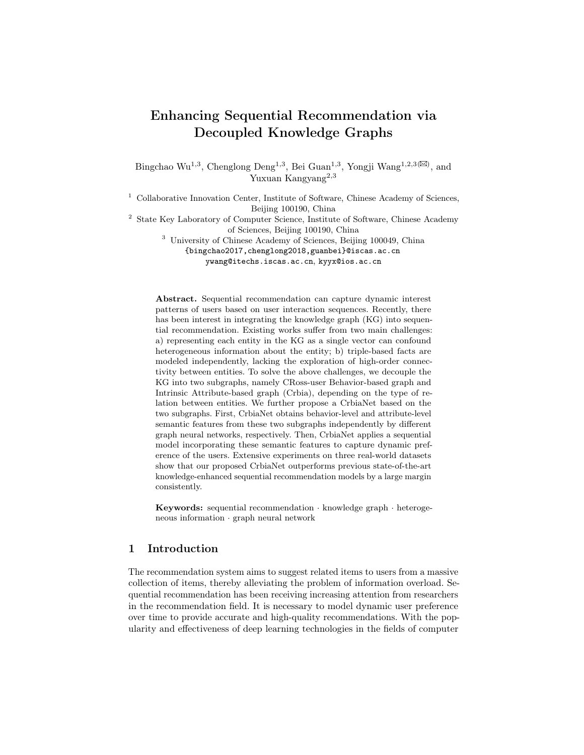Table 1: The performance of our proposed model and previous existing recommendation models on three datasets, where the best results and the second best results are marked in bold and underlined, respectively.

| Datasets      | Metric                | BPR.          | FM |        |        | GRU4Rec SASRec BERT4Rec FDSA S <sup>3</sup> -Rec Chorus KDA\T CrbiaNet |                      |        |           |
|---------------|-----------------------|---------------|----|--------|--------|------------------------------------------------------------------------|----------------------|--------|-----------|
| Beauty        | HR@5                  | 0.3602 0.1461 |    | 0.3487 | 0.3754 | 0.4034                                                                 | 0.4010 0.4502 0.4575 | 0.4846 | $0.5123*$ |
|               | NDCG@5 0.2601 0.0934  |               |    | 0.2580 | 0.2832 | 0.3080                                                                 | 0.2974 0.3407 0.3402 | 0.3654 | $0.3875*$ |
|               | HR@10                 | 0.4659 0.2311 |    | 0.4460 | 0.4795 | 0.5052                                                                 | 0.5096 0.5506 0.5694 | 0.6008 | $0.6204*$ |
|               | NDCG@10 0.2944 0.1207 |               |    | 0.2893 | 0.3168 | 0.3408                                                                 | 0.3324 0.3732 0.3766 | 0.4031 | $0.4225*$ |
| <b>Sports</b> | HR@5                  | 0.3629 0.1603 |    | 0.3208 | 0.3538 | 0.3922                                                                 | 0.3855 0.4267 0.4540 | 0.4504 | $0.4860*$ |
|               | NDCG@5                | 0.2624 0.1048 |    | 0.2257 | 0.2493 | 0.2852                                                                 | 0.2756 0.3104 0.3346 | 0.3273 | $0.3554*$ |
|               | HR@10                 | 0.4851 0.2491 |    | 0.4389 | 0.4805 | 0.5203                                                                 | 0.5136 0.5614 0.5823 | 0.5831 | $0.6200*$ |
|               | NDCG@10 0.3018 0.1334 |               |    | 0.2638 | 0.2900 | 0.3264                                                                 | 0.3170 0.3538 0.3761 | 0.3701 | $0.3988*$ |
| <b>Toys</b>   | HR@5                  | 0.3140 0.0978 |    | 0.3284 | 0.3684 | 0.3926                                                                 | 0.3994 0.4420 0.4290 | 0.4961 | $0.5149*$ |
|               | NDCG@5 0.2286 0.0614  |               |    | 0.2422 | 0.2712 | 0.2979                                                                 | 0.2903 0.3270 0.3306 | 0.3806 | $0.3974*$ |
|               | HR@10                 | 0.4138 0.1715 |    | 0.4293 | 0.4751 | 0.4959                                                                 | 0.5129 0.5530 0.5291 | 0.6015 | $0.6217*$ |
|               | NDCG@10 0.2607 0.0850 |               |    | 0.2746 | 0.3057 | 0.3313                                                                 | 0.3271 0.3629 0.3631 | 0.4147 | $0.4320*$ |

- Chorus [28] is a sequential recommendation model with natural item relations and corresponding temporal dynamics.
- KDA [27] injects natural item relations between items, attributes of items, and temporal evolution information as additional knowledge into the sequence recommendation. For the sake of fairness, the temporal evolution information is removed in this paper and named  $KDA \T$ .

### 5.2 Performance Comparison

Table 1 shows the results of all baselines and our proposed CrbiaNet model on all datasets. First, sequential recommendation methods (e.g., GRU4Rec, SASRec, and BERT4Rec) outperform collaborative filtering methods (e.g., BPR and FM) because the dynamic user preference can be captured by encoding the history of the user's interaction with the recommender system. The performance of sequential recommendation models can be further improved by merging the attributes of items (e.g., FDSA and  $S^3$ -Rec), which indicates the attribute-based side information is helpful for recommender systems. Chorus obtains better performance due to incorporating behavior-based (natural) item relations. In addition, KDA\T achieves the previous state-of-the-art performance on the three datasets by integrating both attributed-based and behavior-based KGs. One possible reason for this is that the complex relations between the target items and the items in the user's historical interaction sequence are explicitly captured by the KGs.

Then, CrbiaNet consistently outperforms the pure and attribute-enhanced sequential recommendation models in the three datasets, thanks to the rich heterogeneous semantic features injected into the sequential interaction model. Compared with pure sequential recommendation methods (e.g., GRU4Rec, SAS-Rec, and BERT4Rec), CrbiaNet achieves better recommendation performance, demonstrating that the underlying semantic knowledge embedded in the KGs is helpful for capturing the dynamic user preference. CrbiaNet is superior to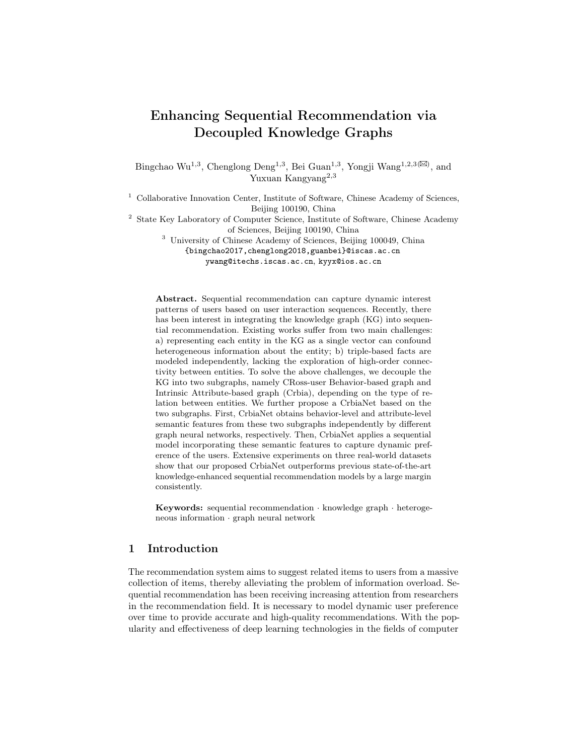| Model           | <b>Metric</b> | Beauty | <b>Sports</b> | Toys   |
|-----------------|---------------|--------|---------------|--------|
| CrbiaNet        | HR@10         | 0.6204 | 0.6200        | 0.6217 |
|                 | NDCG@10       | 0.4225 | 0.3988        | 0.4320 |
| CrbiaNet-BKS    | HR@10         | 0.6033 | 0.5964        | 0.5924 |
|                 | NDCG@10       | 0.4076 | 0.3801        | 0.4086 |
| CrbiaNet-AKS    | HR@10         | 0.5134 | 0.5189        | 0.5203 |
|                 | NDCG@10       | 0.3396 | 0.3178        | 0.3422 |
| CrbiaNet-ADD    | HR@10         | 0.6066 | 0.6145        | 0.6192 |
|                 | NDCG@10       | 0.4156 | 0.3930        | 0.4274 |
| CrbiaNet-RANDOM | HR@10         | 0.4795 | 0.4805        | 0.4751 |
|                 | NDCG@10       | 0.3168 | 0.2900        | 0.3057 |

Table 2: The effectiveness of each component of our proposed CrbiaNet on the three datasets.

FDSA and S<sup>3</sup>-Rec incorporating only attribute-based knowledge, suggesting that behavior-based(natural) item relations are helpful for the recommendation. This shows that co-occurrence patterns from item-item pairs of historical interaction sequences of similar users mitigate the disadvantage of sparse user interaction behaviors.

Finally, our proposed CrbiaNet achieves the state-of-the-art performance in three datasets compared with previous knowledge-enhanced sequential recommendation models (Chorus and  $KDA\$ <sup>T</sup>). The following facts can illustrate these results: 1) independent modeling of CRBGraph and IAGraph allows encoding the heterogeneous semantic information of items more efficiently (see the subsection 5.4 for more discussion); 2) high-order connections between items in CRBGraph and IAGraph can be captured by message passing mechanism in the knowledge extractor; 3) the knowledge aggregator effectively aggregates the heterogeneous semantic information of items, which helps to dynamically assign attention weights to different semantic features based on user interest.

### 5.3 Ablation Study

To investigate the impact of components in CrbiaNet, we compare CrbiaNet with its four variants:

- CrbiaNet-BKS: This model incorporates only the semantic features extracted from CRBGraph by the behavior-level knowledge sub-extractor (BKS) into the sequential interactions modeling (SIM) to demonstrate the impact of cross-user item relations on recommendation performance.
- CrbiaNet-AKS: This model uses only the semantic features extracted from the IAGraph via attribute-level knowledge sub-extractor (AKS) to inject into the SIM.
- CrbiaNet-ADD: This model replaces the complex knowledge aggregator (KA) with the simple addition operation to fuse heterogeneous semantic features to validate the effectiveness of the integration strategy.
- CrbiaNet-RANDOM: This model replaces the high-level semantic knowledge M extracted from KGs with an embedding layer with 0 mean and 0.01 standard deviation.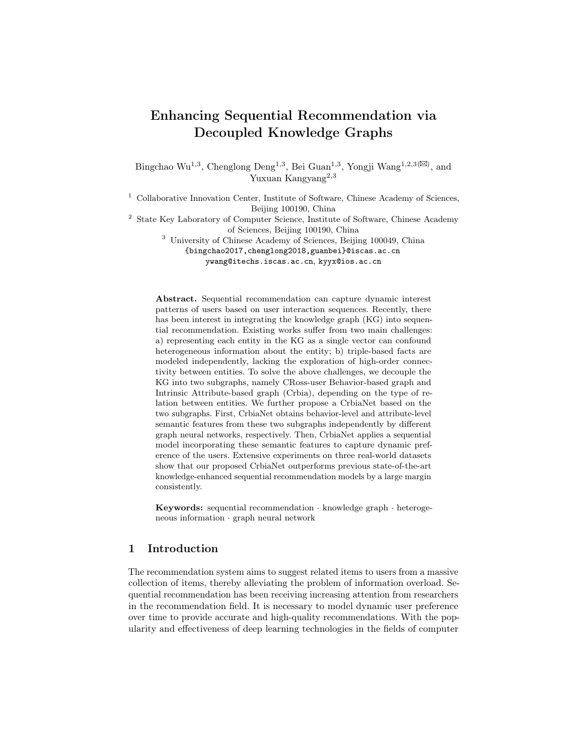Table 2 shows HR@10 and NDCG@10 for these models in all three datasets. We summarize the following findings. First, the BKS of modeling the cross-user item relations in the CRBGraph is the most critical component of CrbiaNet. CrbiaNet-BKS offers significant performance gains over the other three variants in all three datasets, indicating that co-occurrence patterns from item-item pairs can guide the extraction of more accurate user interests. Second, CrbiaNet-AKS outperforms CrbiaNet-RANDOM by utilizing attribute-based semantic features extracted from the IAGraph, demonstrating the need to incorporate the attributes of items. In addition, CrbiaNet-AKS outperforms FDSA [40] on both NDCG@10 and HR@10, which validates that our proposed AKS can effectively extract attribute-aware high-level semantic knowledge. Last, the difference in performance between CrbiaNet and CrbiaNet-ADD suggests that the hierarchical knowledge integration strategy can better integrate heterogeneous semantic features from the KGs by dynamically assigning attention weights to features.

### 5.4 Effectiveness of Knowledge Extractor

To validate the effectiveness of our proposed knowledge extractor, we compare CrbiaNet with three variants in terms of graph construction and graph encoding:

- DisMult: To explore the effectiveness of extracting heterogeneous semantic features from CRBGraph and IAGraph independently, this model first constructs a unified knowledge graph by merging CRBGraph and IAGraph, and then uses DisMult [37] instead of the knowledge extractor in this paper (for more details see [36]).
- TransR(IA): This model replaces AKS with TransR [13] to validate the necessity of potential attribute-aware high-order semantic features for recommendations.
- TransR(CB): This model uses TransR [13] instead of BKS to encode CRB-Graph to validate the effectiveness of behavior-level high-order item relations.

The results of these variants and CrbiaNet are shown in Fig. 4. CrbiaNet achieves better performance than DisMult. Two reasons may cause this phenomenon: 1) CrbiaNet encodes different types of KGs independently to avoid confusion of heterogeneous semantic features; 2) the bilinear diagonal model (DisMult) cannot map attribute-level and behavior-level semantic features to the identical semantic space. Compared to  $TransR(IA)$  and  $TransR(CB)$ , CrbiaNet achieves the best performance on all three datasets. This shows that high-level semantic features are practical for sequential recommendations. In addition, the most significant performance gap is observed between CrbiaNet and TransR(CB), indicating that behavior-level high-order item relations play a crucial role in encoding the dynamic user preference.

### 5.5 Impact of Knowledge Extractor Depth

This subsection considers the impact of the number of layers in the knowledge extractor to validate the necessity of high-order connections between items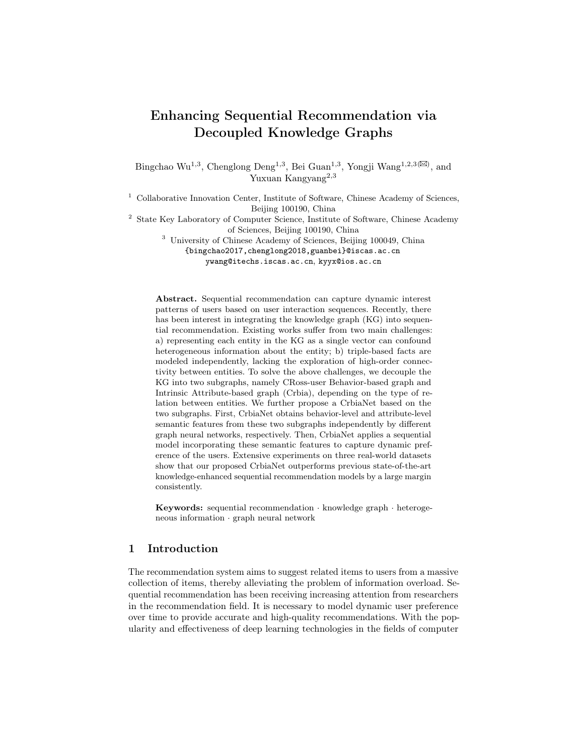

(a) HR@K on Beauty (b) N@K on Beauty (c) HR@K on Sports (d) N@K on Sports

Fig. 4: Performance of the knowledge extractor in CrbiaNet and other extractors on three datasets.



Fig. 5: Impact of knowledge extractor depth.

in the KGs. The results are summarized in Fig 5. First, we can observe that recommendation performance is improved by stacking a certain number of layers in the knowledge extractor, indicating that stacking more layers can explore higher-order item relations in the KG and mine the potential preference of users. However, the recommendation performance of CribaNet on Amazon Beauty and Amazon Toys datasets decreases when more layers are stacked in the knowledge extractor. This shows that stacking too many layers in the knowledge extractor may lead to the problem of over-smoothing. This problem is prevalent in the graph neural networks [16], and we leave the exploration of solving this problem as future work. In addition, the over-smoothing problem does not affect CribiaNet on Amazon Sports dataset when the number of layers is stacked to five. The reason might be that there are more triples in the KG on the Sports dataset than the other two datasets, and longer-distance item relations are required to encode the heterogeneous semantic knowledge of items.

#### Compatibility of High-level Semantic Knowledge 5.6

To explore the validity and compatibility of High-level Semantic Knowledge M (HSK) mentioned in the subsection 4.2, we conduct an experiment employing the HSK and its three variants on four sequential models (GRU4Rec [6], NARM [12], SASRec [9], and BERT [22]): 1)  $w/o$  HSK: This method uses randomly initialized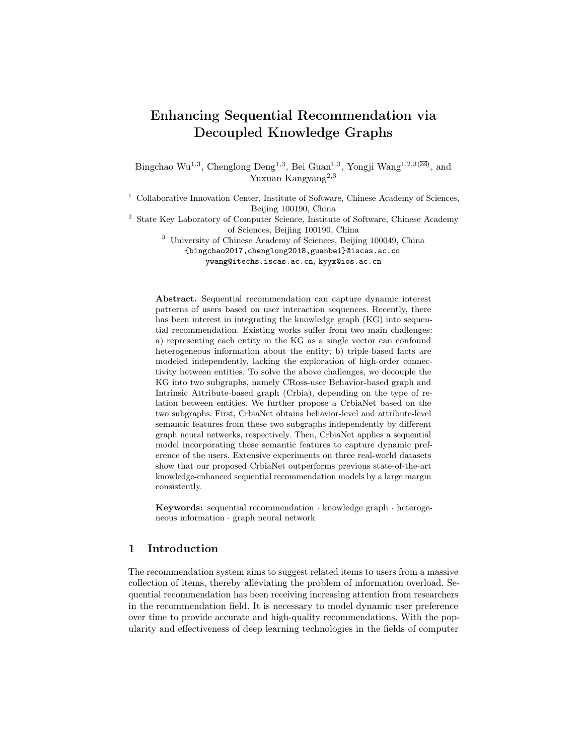

Fig. 6: The performance of CrbiaNet and its variants under different sequential models on three datasets.

embeddings to replace the HSK; 2) only fine-tuning HSK: This method only uses the optimization objective in Eq. 12 to obtain the HSK through finetuning CrbiaNet; 3) only pre-training HSK: This approach only uses the optimization objectives in Eq. 3 and Eq. 7 to obtain the HSK through pre-training the knowledge extractor and keeps the HSK constant in the fine-tuning stage. 4) full HSK: This method first pre-trains the knowledge extractor to obtain the HSK, and then fine-tunes CrbiaNet to adapt the HSK to the sequential recommendation task.

The experimental results are shown in Fig. 6. First, we can observe that all sequential models achieve better performance than ' $w$  (o HSK' when merging HSK, indicating that our proposed HSK is compatible and effective with the sequential recommendation models. In addition, the sequential models' performance decreases on both 'only fine-tuning HSK' and 'only pre-training HSK' compared to 'full HSK', which suggests that our proposed HSK can fully exploit the deeper underlying semantic features in the heterogeneous KGs.

#### **CONCLUSION** 6

In this paper, we propose a CrbiaNet for sequential recommendation by merging heterogeneous semantic features of entities extracted from decoupled KGs. In our approach, we decouple the original KG in the recommendation domain into two subgraphs, named the cross-user behavior-based graph and the intrinsic attribute-based graph. Then, we propose two knowledge sub-extractors to acquire higher-order features of entities with different semantics independently by graph neural networks. Finally, the high-order semantic features are combined and fed into the sequential recommendation model to enhance the representation of the user preference. We construct experiments on Amazon datasets, and the experimental results show that CrbiaNet outperforms the previous state-of-the-art recommendation models.

**Acknowledgement.** This research project was supported by the Foundation of Science and Technology Project of Hebei Education Department (Grants No. ZD2021063).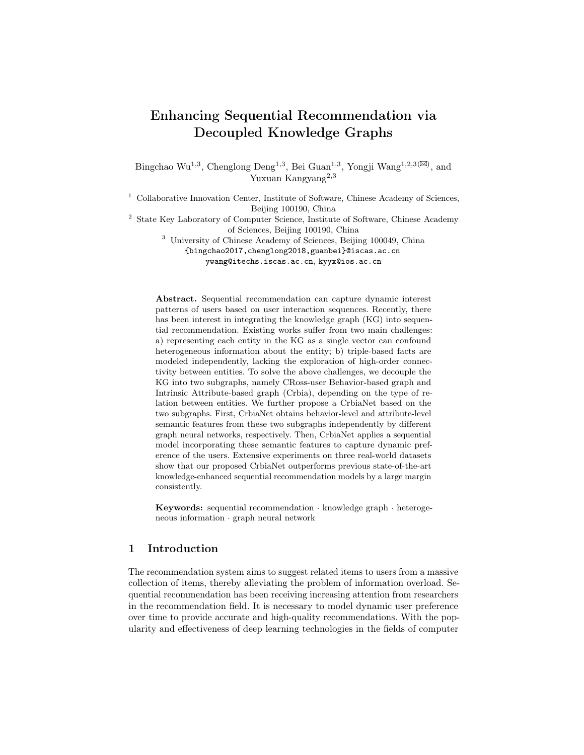16 Authors Suppressed Due to Excessive Length

### References

- 1. A. Bordes, N. Usunier, A. Garcia-Duran, J. Weston, and O. Yakhnenko, "Translating embeddings for modeling multi-relational data," Advances in neural information processing systems, vol. 26, 2013.
- 2. K. Cho, B. Van Merriënboer, C. Gulcehre, D. Bahdanau, F. Bougares, H. Schwenk, and Y. Bengio, "Learning phrase representations using rnn encoder-decoder for statistical machine translation," arXiv preprint arXiv:1406.1078, 2014.
- 3. J. Devlin, M.-W. Chang, K. Lee, and K. Toutanova, "Bert: Pre-training of deep bidirectional transformers for language understanding," arXiv preprint arXiv:1810.04805, 2018.
- 4. W. Guo, R. Su, R. Tan, H. Guo, Y. Zhang, Z. Liu, R. Tang, and X. He, "Dual graph enhanced embedding neural network for ctrprediction," arXiv preprint arXiv:2106.00314, 2021.
- 5. R. He and J. McAuley, "Ups and downs: Modeling the visual evolution of fashion trends with one-class collaborative filtering," in proceedings of the 25th international conference on world wide web, 2016, pp. 507–517.
- 6. B. Hidasi, A. Karatzoglou, L. Baltrunas, and D. Tikk, "Session-based recommendations with recurrent neural networks," arXiv preprint arXiv:1511.06939, 2015.
- 7. J. Huang, W. X. Zhao, H. Dou, J.-R. Wen, and E. Y. Chang, "Improving sequential recommendation with knowledge-enhanced memory networks," in The 41st International ACM SIGIR Conference on Research & Development in Information Retrieval, 2018, pp. 505–514.
- 8. X. Huang, S. Qian, Q. Fang, J. Sang, and C. Xu, "Meta-path augmented sequential recommendation with contextual co-attention network," ACM Transactions on Multimedia Computing, Communications, and Applications (TOMM), vol. 16, no. 2, pp. 1–24, 2020.
- 9. W.-C. Kang and J. McAuley, "Self-attentive sequential recommendation," in 2018 IEEE International Conference on Data Mining (ICDM). IEEE, 2018, pp. 197–206.
- 10. D. P. Kingma and J. Ba, "Adam: A method for stochastic optimization," arXiv preprint arXiv:1412.6980, 2014.
- 11. M. Kosinski, D. Stillwell, and T. Graepel, "Private traits and attributes are predictable from digital records of human behavior," Proceedings of the national academy of sciences, vol. 110, no. 15, pp. 5802–5805, 2013.
- 12. J. Li, P. Ren, Z. Chen, Z. Ren, T. Lian, and J. Ma, "Neural attentive session-based recommendation," in Proceedings of the 2017 ACM on Conference on Information and Knowledge Management, 2017, pp. 1419–1428.
- 13. Y. Lin, Z. Liu, M. Sun, Y. Liu, and X. Zhu, "Learning entity and relation embeddings for knowledge graph completion," in Twenty-ninth AAAI conference on artificial intelligence, 2015.
- 14. X. Long, C. Huang, Y. Xu, H. Xu, P. Dai, L. Xia, and L. Bo, "Social recommendation with self-supervised metagraph informax network," arXiv preprint arXiv:2110.03958, 2021.
- 15. W. Ma, M. Zhang, Y. Cao, W. Jin, C. Wang, Y. Liu, S. Ma, and X. Ren, "Jointly learning explainable rules for recommendation with knowledge graph," in The World Wide Web Conference, 2019, pp. 1210–1221.
- 16. K. Oono and T. Suzuki, "Graph neural networks exponentially lose expressive power for node classification," arXiv preprint arXiv:1905.10947, 2019.
- 17. S. Rendle, "Factorization machines," in 2010 IEEE International conference on data mining. IEEE, 2010, pp. 995–1000.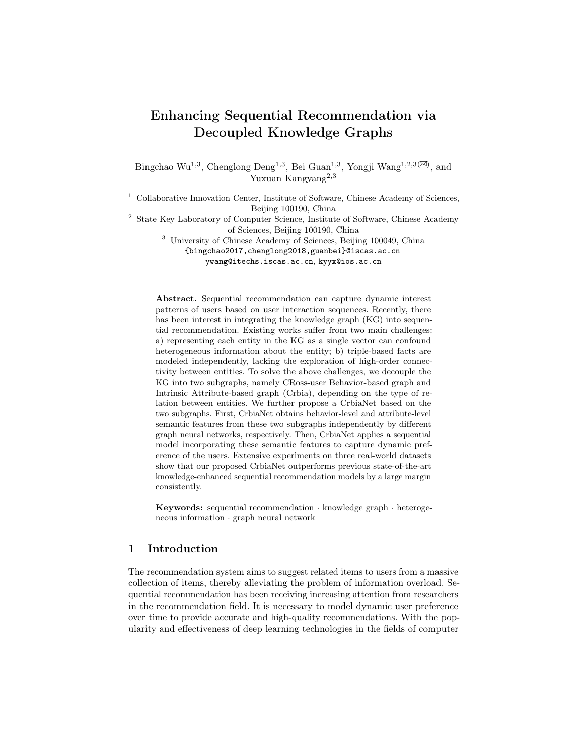Enhancing Sequential Recommendation via Decoupled Knowledge Graphs 17

- 18. S. Rendle, C. Freudenthaler, Z. Gantner, and L. Schmidt-Thieme, "Bpr: Bayesian personalized ranking from implicit feedback," arXiv preprint arXiv:1205.2618, 2012.
- 19. ——, "Bpr: Bayesian personalized ranking from implicit feedback,"  $arXiv$  preprint arXiv:1205.2618, 2012.
- 20. S. Rendle, C. Freudenthaler, and L. Schmidt-Thieme, "Factorizing personalized markov chains for next-basket recommendation," in Proceedings of the 19th international conference on World wide web, 2010, pp. 811–820.
- 21. G. Shani, D. Heckerman, R. I. Brafman, and C. Boutilier, "An mdp-based recommender system." Journal of Machine Learning Research, vol. 6, no. 9, 2005.
- 22. F. Sun, J. Liu, J. Wu, C. Pei, X. Lin, W. Ou, and P. Jiang, "Bert4rec: Sequential recommendation with bidirectional encoder representations from transformer," in Proceedings of the 28th ACM international conference on information and knowledge management, 2019, pp. 1441–1450.
- 23. J. Tang and K. Wang, "Personalized top-n sequential recommendation via convolutional sequence embedding," in Proceedings of the Eleventh ACM International Conference on Web Search and Data Mining, 2018, pp. 565–573.
- 24. W. L. Taylor, ""cloze procedure": A new tool for measuring readability," Journalism quarterly, vol. 30, no. 4, pp. 415–433, 1953.
- 25. T. Trouillon, J. Welbl, S. Riedel, É. Gaussier, and G. Bouchard, "Complex embeddings for simple link prediction," in International conference on machine learning. PMLR, 2016, pp. 2071–2080.
- 26. A. Vaswani, N. Shazeer, N. Parmar, J. Uszkoreit, L. Jones, A. N. Gomez, Ł. Kaiser, and I. Polosukhin, "Attention is all you need," in Advances in neural information processing systems, 2017, pp. 5998–6008.
- 27. C. Wang, W. Ma, M. Zhang, C. Chen, Y. Liu, and S. Ma, "Toward dynamic user intention: Temporal evolutionary effects of item relations in sequential recommendation," ACM Transactions on Information Systems (TOIS), vol. 39, no. 2, pp. 1–33, 2020.
- 28. C. Wang, M. Zhang, W. Ma, Y. Liu, and S. Ma, "Make it a chorus: knowledgeand time-aware item modeling for sequential recommendation," in Proceedings of the 43rd International ACM SIGIR Conference on Research and Development in Information Retrieval, 2020, pp. 109–118.
- 29. M. Wang, L. Qiu, and X. Wang, "A survey on knowledge graph embeddings for link prediction," Symmetry, vol. 13, no. 3, p. 485, 2021.
- 30. P. Wang, Y. Fan, L. Xia, W. X. Zhao, S. Niu, and J. Huang, "Kerl: A knowledgeguided reinforcement learning model for sequential recommendation," in Proceedings of the 43rd International ACM SIGIR Conference on Research and Development in Information Retrieval, 2020, pp. 209–218.
- 31. ——, "Kerl: A knowledge-guided reinforcement learning model for sequential recommendation," in Proceedings of the 43rd International ACM SIGIR conference on research and development in Information Retrieval, 2020, pp. 209–218.
- 32. X. Wang, X. He, Y. Cao, M. Liu, and T.-S. Chua, "Kgat: Knowledge graph attention network for recommendation," in Proceedings of the 25th ACM SIGKDD International Conference on Knowledge Discovery & Data Mining, 2019, pp. 950– 958.
- 33. L. Wu, Y. Yang, K. Zhang, R. Hong, Y. Fu, and M. Wang, "Joint item recommendation and attribute inference: An adaptive graph convolutional network approach," in Proceedings of the 43rd International ACM SIGIR Conference on Research and Development in Information Retrieval, 2020, pp. 679–688.